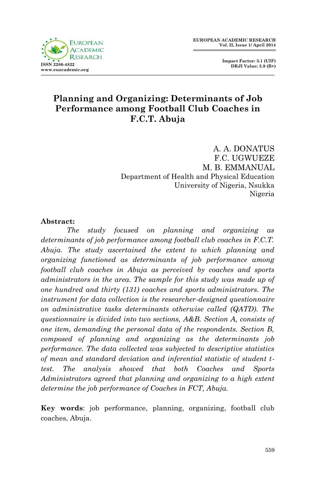**Impact Factor: 3.1 (UIF) DRJI Value: 5.9 (B+)**

## **Planning and Organizing: Determinants of Job Performance among Football Club Coaches in F.C.T. Abuja**

A. A. DONATUS F.C. UGWUEZE M. B. EMMANUAL Department of Health and Physical Education University of Nigeria, Nsukka Nigeria

#### **Abstract:**

*The study focused on planning and organizing as determinants of job performance among football club coaches in F.C.T. Abuja. The study ascertained the extent to which planning and organizing functioned as determinants of job performance among football club coaches in Abuja as perceived by coaches and sports administrators in the area. The sample for this study was made up of one hundred and thirty (131) coaches and sports administrators. The instrument for data collection is the researcher-designed questionnaire on administrative tasks determinants otherwise called (QATD). The questionnaire is divided into two sections, A&B. Section A, consists of one item, demanding the personal data of the respondents. Section B, composed of planning and organizing as the determinants job performance. The data collected was subjected to descriptive statistics of mean and standard deviation and inferential statistic of student ttest. The analysis showed that both Coaches and Sports Administrators agreed that planning and organizing to a high extent determine the job performance of Coaches in FCT, Abuja.* 

**Key words**: job performance, planning, organizing, football club coaches, Abuja.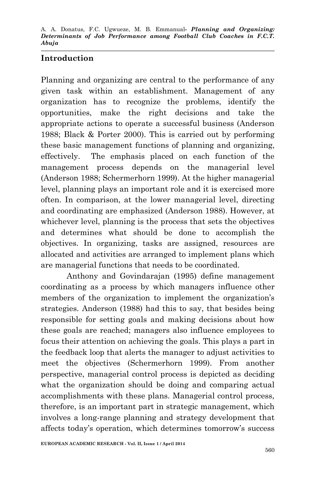#### **Introduction**

Planning and organizing are central to the performance of any given task within an establishment. Management of any organization has to recognize the problems, identify the opportunities, make the right decisions and take the appropriate actions to operate a successful business (Anderson 1988; Black & Porter 2000). This is carried out by performing these basic management functions of planning and organizing, effectively. The emphasis placed on each function of the management process depends on the managerial level (Anderson 1988; Schermerhorn 1999). At the higher managerial level, planning plays an important role and it is exercised more often. In comparison, at the lower managerial level, directing and coordinating are emphasized (Anderson 1988). However, at whichever level, planning is the process that sets the objectives and determines what should be done to accomplish the objectives. In organizing, tasks are assigned, resources are allocated and activities are arranged to implement plans which are managerial functions that needs to be coordinated.

Anthony and Govindarajan (1995) define management coordinating as a process by which managers influence other members of the organization to implement the organization's strategies. Anderson (1988) had this to say, that besides being responsible for setting goals and making decisions about how these goals are reached; managers also influence employees to focus their attention on achieving the goals. This plays a part in the feedback loop that alerts the manager to adjust activities to meet the objectives (Schermerhorn 1999). From another perspective, managerial control process is depicted as deciding what the organization should be doing and comparing actual accomplishments with these plans. Managerial control process, therefore, is an important part in strategic management, which involves a long-range planning and strategy development that affects today's operation, which determines tomorrow's success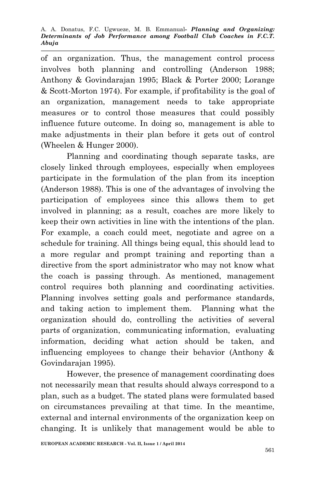of an organization. Thus, the management control process involves both planning and controlling (Anderson 1988; Anthony & Govindarajan 1995; Black & Porter 2000; Lorange & Scott-Morton 1974). For example, if profitability is the goal of an organization, management needs to take appropriate measures or to control those measures that could possibly influence future outcome. In doing so, management is able to make adjustments in their plan before it gets out of control (Wheelen & Hunger 2000).

Planning and coordinating though separate tasks, are closely linked through employees, especially when employees participate in the formulation of the plan from its inception (Anderson 1988). This is one of the advantages of involving the participation of employees since this allows them to get involved in planning; as a result, coaches are more likely to keep their own activities in line with the intentions of the plan. For example, a coach could meet, negotiate and agree on a schedule for training. All things being equal, this should lead to a more regular and prompt training and reporting than a directive from the sport administrator who may not know what the coach is passing through. As mentioned, management control requires both planning and coordinating activities. Planning involves setting goals and performance standards, and taking action to implement them. Planning what the organization should do, controlling the activities of several parts of organization, communicating information, evaluating information, deciding what action should be taken, and influencing employees to change their behavior (Anthony & Govindarajan 1995).

However, the presence of management coordinating does not necessarily mean that results should always correspond to a plan, such as a budget. The stated plans were formulated based on circumstances prevailing at that time. In the meantime, external and internal environments of the organization keep on changing. It is unlikely that management would be able to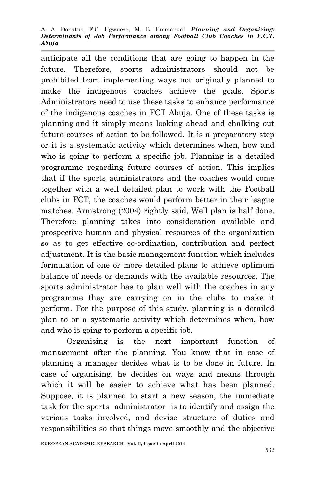A. A. Donatus, F.C. Ugwueze, M. B. Emmanual*- Planning and Organizing: Determinants of Job Performance among Football Club Coaches in F.C.T. Abuja*

anticipate all the conditions that are going to happen in the future. Therefore, sports administrators should not be prohibited from implementing ways not originally planned to make the indigenous coaches achieve the goals. Sports Administrators need to use these tasks to enhance performance of the indigenous coaches in FCT Abuja. One of these tasks is planning and it simply means looking ahead and chalking out future courses of action to be followed. It is a preparatory step or it is a systematic activity which determines when, how and who is going to perform a specific job. Planning is a detailed programme regarding future courses of action. This implies that if the sports administrators and the coaches would come together with a well detailed plan to work with the Football clubs in FCT, the coaches would perform better in their league matches. Armstrong (2004) rightly said, Well plan is half done. Therefore planning takes into consideration available and prospective human and physical resources of the organization so as to get effective co-ordination, contribution and perfect adjustment. It is the basic management function which includes formulation of one or more detailed plans to achieve optimum balance of needs or demands with the available resources. The sports administrator has to plan well with the coaches in any programme they are carrying on in the clubs to make it perform. For the purpose of this study, planning is a detailed plan to or a systematic activity which determines when, how and who is going to perform a specific job.

Organising is the next important function of management after the planning. You know that in case of planning a manager decides what is to be done in future. In case of organising, he decides on ways and means through which it will be easier to achieve what has been planned. Suppose, it is planned to start a new season, the immediate task for the sports administrator is to identify and assign the various tasks involved, and devise structure of duties and responsibilities so that things move smoothly and the objective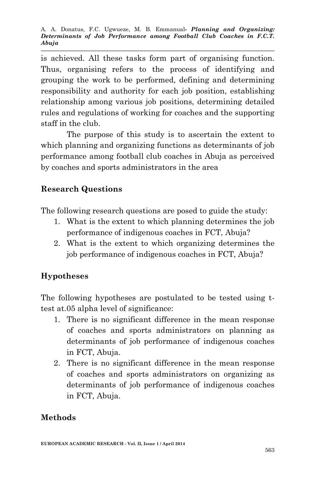is achieved. All these tasks form part of organising function. Thus, organising refers to the process of identifying and grouping the work to be performed, defining and determining responsibility and authority for each job position, establishing relationship among various job positions, determining detailed rules and regulations of working for coaches and the supporting staff in the club.

The purpose of this study is to ascertain the extent to which planning and organizing functions as determinants of job performance among football club coaches in Abuja as perceived by coaches and sports administrators in the area

## **Research Questions**

The following research questions are posed to guide the study:

- 1. What is the extent to which planning determines the job performance of indigenous coaches in FCT, Abuja?
- 2. What is the extent to which organizing determines the job performance of indigenous coaches in FCT, Abuja?

# **Hypotheses**

The following hypotheses are postulated to be tested using ttest at.05 alpha level of significance:

- 1. There is no significant difference in the mean response of coaches and sports administrators on planning as determinants of job performance of indigenous coaches in FCT, Abuja.
- 2. There is no significant difference in the mean response of coaches and sports administrators on organizing as determinants of job performance of indigenous coaches in FCT, Abuja.

# **Methods**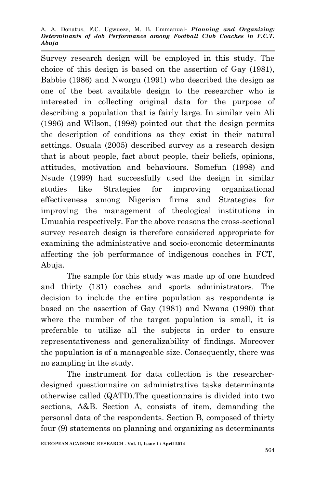Survey research design will be employed in this study. The choice of this design is based on the assertion of Gay (1981), Babbie (1986) and Nworgu (1991) who described the design as one of the best available design to the researcher who is interested in collecting original data for the purpose of describing a population that is fairly large. In similar vein Ali (1996) and Wilson, (1998) pointed out that the design permits the description of conditions as they exist in their natural settings. Osuala (2005) described survey as a research design that is about people, fact about people, their beliefs, opinions, attitudes, motivation and behaviours. Somefun (1998) and Nsude (1999) had successfully used the design in similar studies like Strategies for improving organizational effectiveness among Nigerian firms and Strategies for improving the management of theological institutions in Umuahia respectively. For the above reasons the cross-sectional survey research design is therefore considered appropriate for examining the administrative and socio-economic determinants affecting the job performance of indigenous coaches in FCT, Abuja.

The sample for this study was made up of one hundred and thirty (131) coaches and sports administrators. The decision to include the entire population as respondents is based on the assertion of Gay (1981) and Nwana (1990) that where the number of the target population is small, it is preferable to utilize all the subjects in order to ensure representativeness and generalizability of findings. Moreover the population is of a manageable size. Consequently, there was no sampling in the study.

The instrument for data collection is the researcherdesigned questionnaire on administrative tasks determinants otherwise called (QATD).The questionnaire is divided into two sections, A&B. Section A, consists of item, demanding the personal data of the respondents. Section B, composed of thirty four (9) statements on planning and organizing as determinants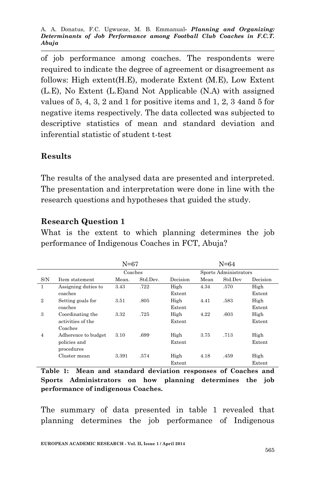of job performance among coaches. The respondents were required to indicate the degree of agreement or disagreement as follows: High extent(H.E), moderate Extent (M.E), Low Extent (L.E), No Extent (L.E)and Not Applicable (N.A) with assigned values of 5, 4, 3, 2 and 1 for positive items and 1, 2, 3 4and 5 for negative items respectively. The data collected was subjected to descriptive statistics of mean and standard deviation and inferential statistic of student t-test

#### **Results**

The results of the analysed data are presented and interpreted. The presentation and interpretation were done in line with the research questions and hypotheses that guided the study.

### **Research Question 1**

What is the extent to which planning determines the job performance of Indigenous Coaches in FCT, Abuja?

|                | $N = 67$            |         |          |          |                       | $N = 64$ |          |  |
|----------------|---------------------|---------|----------|----------|-----------------------|----------|----------|--|
|                |                     | Coaches |          |          | Sports Administrators |          |          |  |
| S/N            | Item statement      | Mean.   | Std.Dev. | Decision | Mean                  | Std.Dev  | Decision |  |
| $\mathbf{1}$   | Assigning duties to | 3.43    | .722     | High     | 4.34                  | .570     | High     |  |
|                | coaches             |         |          | Extent   |                       |          | Extent   |  |
| $\overline{2}$ | Setting goals for   | 3.51    | .805     | High     | 4.41                  | .583     | High     |  |
|                | coaches             |         |          | Extent   |                       |          | Extent   |  |
| 3              | Coordinating the    | 3.32    | .725     | High     | 4.22                  | .603     | High     |  |
|                | activities of the   |         |          | Extent   |                       |          | Extent   |  |
|                | Coaches             |         |          |          |                       |          |          |  |
| $\overline{4}$ | Adherence to budget | 3.10    | .699     | High     | 3.75                  | .713     | High     |  |
|                | policies and        |         |          | Extent   |                       |          | Extent   |  |
|                | procedures          |         |          |          |                       |          |          |  |
|                | Cluster mean        | 3.391   | .574     | High     | 4.18                  | .459     | High     |  |
|                |                     |         |          | Extent   |                       |          | Extent   |  |

**Table 1: Mean and standard deviation responses of Coaches and Sports Administrators on how planning determines the job performance of indigenous Coaches.**

The summary of data presented in table 1 revealed that planning determines the job performance of Indigenous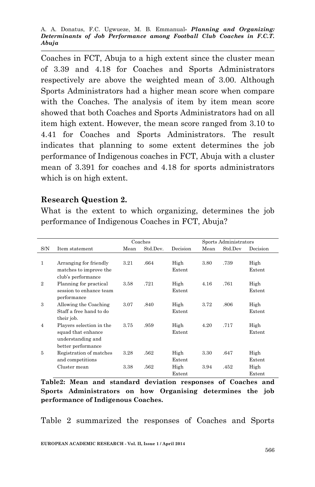Coaches in FCT, Abuja to a high extent since the cluster mean of 3.39 and 4.18 for Coaches and Sports Administrators respectively are above the weighted mean of 3.00. Although Sports Administrators had a higher mean score when compare with the Coaches. The analysis of item by item mean score showed that both Coaches and Sports Administrators had on all item high extent. However, the mean score ranged from 3.10 to 4.41 for Coaches and Sports Administrators. The result indicates that planning to some extent determines the job performance of Indigenous coaches in FCT, Abuja with a cluster mean of 3.391 for coaches and 4.18 for sports administrators which is on high extent.

#### **Research Question 2.**

What is the extent to which organizing, determines the job performance of Indigenous Coaches in FCT, Abuja?

|                |                          | Coaches |          |          | Sports Administrators |         |          |
|----------------|--------------------------|---------|----------|----------|-----------------------|---------|----------|
| S/N            | Item statement           | Mean    | Std.Dev. | Decision | Mean                  | Std.Dev | Decision |
|                |                          |         |          |          |                       |         |          |
| $\mathbf{1}$   | Arranging for friendly   | 3.21    | .664     | High     | 3.80                  | .739    | High     |
|                | matches to improve the   |         |          | Extent   |                       |         | Extent   |
|                | club's performance       |         |          |          |                       |         |          |
| $\overline{2}$ | Planning for practical   | 3.58    | .721     | High     | 4.16                  | .761    | High     |
|                | session to enhance team  |         |          | Extent   |                       |         | Extent   |
|                | performance              |         |          |          |                       |         |          |
| 3              | Allowing the Coaching    | 3.07    | .840     | High     | 3.72                  | .806    | High     |
|                | Staff a free hand to do  |         |          | Extent   |                       |         | Extent   |
|                | their job.               |         |          |          |                       |         |          |
| $\overline{4}$ | Players selection in the | 3.75    | .959     | High     | 4.20                  | .717    | High     |
|                | squad that enhance       |         |          | Extent   |                       |         | Extent   |
|                | understanding and        |         |          |          |                       |         |          |
|                | better performance       |         |          |          |                       |         |          |
| 5              | Registration of matches  | 3.28    | .562     | High     | 3.30                  | .647    | High     |
|                | and competitions         |         |          | Extent   |                       |         | Extent   |
|                | Cluster mean             | 3.38    | .562     | High     | 3.94                  | .452    | High     |
|                |                          |         |          | Extent   |                       |         | Extent   |

**Table2: Mean and standard deviation responses of Coaches and Sports Administrators on how Organising determines the job performance of Indigenous Coaches.**

Table 2 summarized the responses of Coaches and Sports

**EUROPEAN ACADEMIC RESEARCH - Vol. II, Issue 1 / April 2014**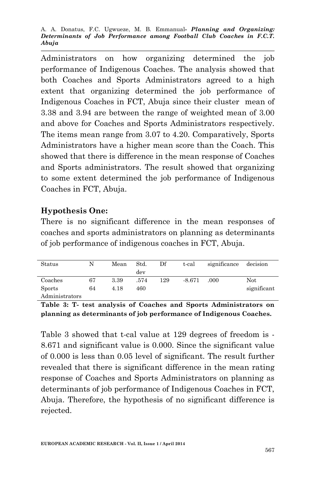A. A. Donatus, F.C. Ugwueze, M. B. Emmanual*- Planning and Organizing: Determinants of Job Performance among Football Club Coaches in F.C.T. Abuja*

Administrators on how organizing determined the job performance of Indigenous Coaches. The analysis showed that both Coaches and Sports Administrators agreed to a high extent that organizing determined the job performance of Indigenous Coaches in FCT, Abuja since their cluster mean of 3.38 and 3.94 are between the range of weighted mean of 3.00 and above for Coaches and Sports Administrators respectively. The items mean range from 3.07 to 4.20. Comparatively, Sports Administrators have a higher mean score than the Coach. This showed that there is difference in the mean response of Coaches and Sports administrators. The result showed that organizing to some extent determined the job performance of Indigenous Coaches in FCT, Abuja.

### **Hypothesis One:**

There is no significant difference in the mean responses of coaches and sports administrators on planning as determinants of job performance of indigenous coaches in FCT, Abuja.

| Status         | N  | Mean | Std.<br>dev | Df  | t-cal    | significance | decision    |
|----------------|----|------|-------------|-----|----------|--------------|-------------|
| Coaches        | 67 | 3.39 | .574        | 129 | $-8.671$ | .000         | Not         |
| <b>Sports</b>  | 64 | 4.18 | 460         |     |          |              | significant |
| Administrators |    |      |             |     |          |              |             |

**Table 3: T- test analysis of Coaches and Sports Administrators on planning as determinants of job performance of Indigenous Coaches.**

Table 3 showed that t-cal value at 129 degrees of freedom is - 8.671 and significant value is 0.000. Since the significant value of 0.000 is less than 0.05 level of significant. The result further revealed that there is significant difference in the mean rating response of Coaches and Sports Administrators on planning as determinants of job performance of Indigenous Coaches in FCT, Abuja. Therefore, the hypothesis of no significant difference is rejected.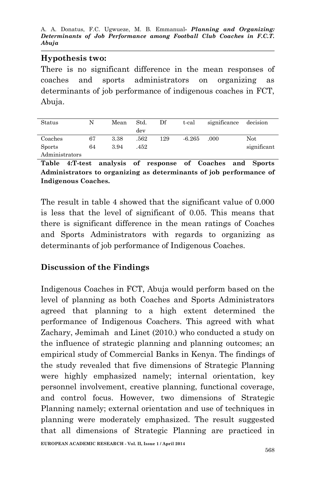A. A. Donatus, F.C. Ugwueze, M. B. Emmanual*- Planning and Organizing: Determinants of Job Performance among Football Club Coaches in F.C.T. Abuja*

#### **Hypothesis two:**

There is no significant difference in the mean responses of coaches and sports administrators on organizing as determinants of job performance of indigenous coaches in FCT, Abuja.

| Status         |    | Mean | Std.<br>dev | Df  | t-cal    | significance | decision    |
|----------------|----|------|-------------|-----|----------|--------------|-------------|
| Coaches        | 67 | 3.38 | .562        | 129 | $-6.265$ | .000         | Not         |
| <b>Sports</b>  | 64 | 3.94 | .452        |     |          |              | significant |
| Administrators |    |      |             |     |          |              |             |

**Table 4:T-test analysis of response of Coaches and Sports Administrators to organizing as determinants of job performance of Indigenous Coaches.**

The result in table 4 showed that the significant value of 0.000 is less that the level of significant of 0.05. This means that there is significant difference in the mean ratings of Coaches and Sports Administrators with regards to organizing as determinants of job performance of Indigenous Coaches.

## **Discussion of the Findings**

Indigenous Coaches in FCT, Abuja would perform based on the level of planning as both Coaches and Sports Administrators agreed that planning to a high extent determined the performance of Indigenous Coachers. This agreed with what Zachary, Jemimah and Linet (2010.) who conducted a study on the influence of strategic planning and planning outcomes; an empirical study of Commercial Banks in Kenya. The findings of the study revealed that five dimensions of Strategic Planning were highly emphasized namely; internal orientation, key personnel involvement, creative planning, functional coverage, and control focus. However, two dimensions of Strategic Planning namely; external orientation and use of techniques in planning were moderately emphasized. The result suggested that all dimensions of Strategic Planning are practiced in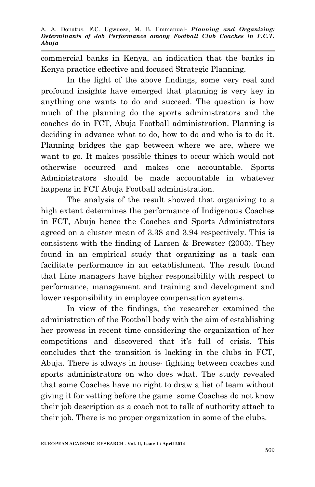commercial banks in Kenya, an indication that the banks in Kenya practice effective and focused Strategic Planning.

In the light of the above findings, some very real and profound insights have emerged that planning is very key in anything one wants to do and succeed. The question is how much of the planning do the sports administrators and the coaches do in FCT, Abuja Football administration. Planning is deciding in advance what to do, how to do and who is to do it. Planning bridges the gap between where we are, where we want to go. It makes possible things to occur which would not otherwise occurred and makes one accountable. Sports Administrators should be made accountable in whatever happens in FCT Abuja Football administration.

The analysis of the result showed that organizing to a high extent determines the performance of Indigenous Coaches in FCT, Abuja hence the Coaches and Sports Administrators agreed on a cluster mean of 3.38 and 3.94 respectively. This is consistent with the finding of Larsen & Brewster (2003). They found in an empirical study that organizing as a task can facilitate performance in an establishment. The result found that Line managers have higher responsibility with respect to performance, management and training and development and lower responsibility in employee compensation systems.

In view of the findings, the researcher examined the administration of the Football body with the aim of establishing her prowess in recent time considering the organization of her competitions and discovered that it's full of crisis. This concludes that the transition is lacking in the clubs in FCT, Abuja. There is always in house- fighting between coaches and sports administrators on who does what. The study revealed that some Coaches have no right to draw a list of team without giving it for vetting before the game some Coaches do not know their job description as a coach not to talk of authority attach to their job. There is no proper organization in some of the clubs.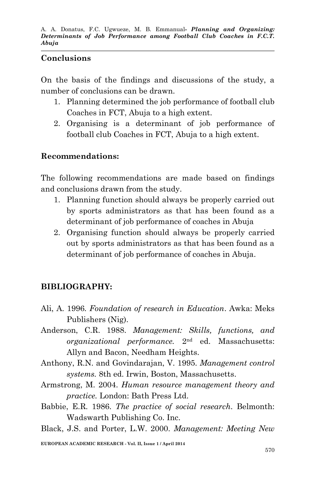#### **Conclusions**

On the basis of the findings and discussions of the study, a number of conclusions can be drawn.

- 1. Planning determined the job performance of football club Coaches in FCT, Abuja to a high extent.
- 2. Organising is a determinant of job performance of football club Coaches in FCT, Abuja to a high extent.

## **Recommendations:**

The following recommendations are made based on findings and conclusions drawn from the study.

- 1. Planning function should always be properly carried out by sports administrators as that has been found as a determinant of job performance of coaches in Abuja
- 2. Organising function should always be properly carried out by sports administrators as that has been found as a determinant of job performance of coaches in Abuja.

# **BIBLIOGRAPHY:**

- Ali, A. 1996*. Foundation of research in Education*. Awka: Meks Publishers (Nig).
- Anderson, C.R. 1988. *Management: Skills, functions, and organizational performance.* 2nd ed. Massachusetts: Allyn and Bacon, Needham Heights.
- Anthony, R.N. and Govindarajan, V. 1995. *Management control systems.* 8th ed. Irwin, Boston, Massachusetts.
- Armstrong, M. 2004. *Human resource management theory and practice.* London: Bath Press Ltd.
- Babbie, E.R. 1986. *The practice of social research*. Belmonth: Wadswarth Publishing Co. Inc.
- Black, J.S. and Porter, L.W. 2000. *Management: Meeting New*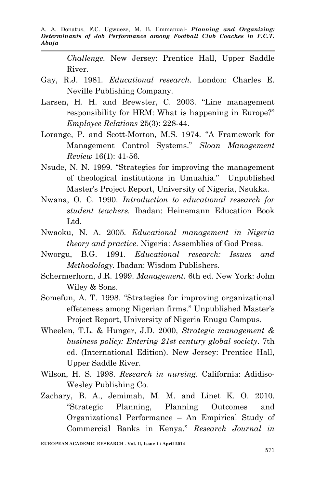A. A. Donatus, F.C. Ugwueze, M. B. Emmanual*- Planning and Organizing: Determinants of Job Performance among Football Club Coaches in F.C.T. Abuja*

*Challenge.* New Jersey: Prentice Hall, Upper Saddle River.

- Gay, R.J. 1981*. Educational research*. London: Charles E. Neville Publishing Company.
- Larsen, H. H. and Brewster, C. 2003. "Line management responsibility for HRM: What is happening in Europe?" *Employee Relations* 25(3): 228-44.
- Lorange, P. and Scott-Morton, M.S. 1974. "A Framework for Management Control Systems." *Sloan Management Review* 16(1): 41-56.
- Nsude, N. N. 1999*.* "Strategies for improving the management of theological institutions in Umuahia." Unpublished Master's Project Report, University of Nigeria, Nsukka.
- Nwana, O. C. 1990. *Introduction to educational research for student teachers.* Ibadan: Heinemann Education Book Ltd.
- Nwaoku, N. A. 2005*. Educational management in Nigeria theory and practice*. Nigeria: Assemblies of God Press.
- Nworgu, B.G. 1991. *Educational research: Issues and Methodology.* Ibadan: Wisdom Publishers.
- Schermerhorn, J.R. 1999. *Management.* 6th ed. New York: John Wiley & Sons.
- Somefun, A. T. 1998*.* "Strategies for improving organizational effeteness among Nigerian firms." Unpublished Master's Project Report, University of Nigeria Enugu Campus.
- Wheelen, T.L. & Hunger, J.D. 2000, *Strategic management & business policy: Entering 21st century global society.* 7th ed. (International Edition). New Jersey: Prentice Hall, Upper Saddle River.
- Wilson, H. S. 1998*. Research in nursing*. California: Adidiso-Wesley Publishing Co.
- Zachary, B. A., Jemimah, M. M. and Linet K. O. 2010. "Strategic Planning, Planning Outcomes and Organizational Performance – An Empirical Study of Commercial Banks in Kenya." *Research Journal in*